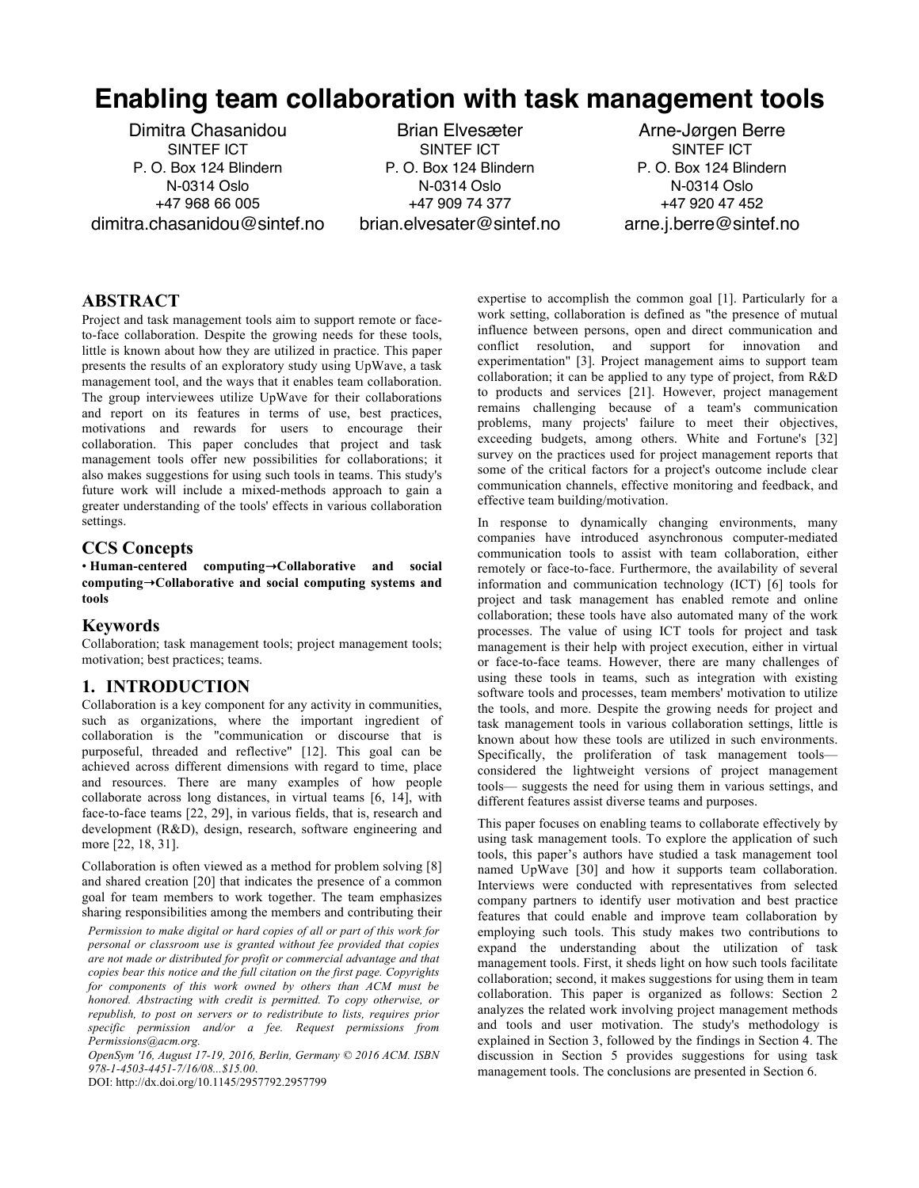# **Enabling team collaboration with task management tools**

Dimitra Chasanidou SINTEF ICT P. O. Box 124 Blindern N-0314 Oslo +47 968 66 005 dimitra.chasanidou@sintef.no

Brian Elvesæter SINTEF ICT P. O. Box 124 Blindern N-0314 Oslo +47 909 74 377 brian.elvesater@sintef.no

Arne-Jørgen Berre SINTEF ICT P. O. Box 124 Blindern N-0314 Oslo +47 920 47 452 arne.j.berre@sintef.no

## **ABSTRACT**

Project and task management tools aim to support remote or faceto-face collaboration. Despite the growing needs for these tools, little is known about how they are utilized in practice. This paper presents the results of an exploratory study using UpWave, a task management tool, and the ways that it enables team collaboration. The group interviewees utilize UpWave for their collaborations and report on its features in terms of use, best practices, motivations and rewards for users to encourage their collaboration. This paper concludes that project and task management tools offer new possibilities for collaborations; it also makes suggestions for using such tools in teams. This study's future work will include a mixed-methods approach to gain a greater understanding of the tools' effects in various collaboration settings.

#### **CCS Concepts**

• **Human-centered computing**➝**Collaborative and social computing**➝**Collaborative and social computing systems and tools**

### **Keywords**

Collaboration; task management tools; project management tools; motivation; best practices; teams.

### **1. INTRODUCTION**

Collaboration is a key component for any activity in communities, such as organizations, where the important ingredient of collaboration is the "communication or discourse that is purposeful, threaded and reflective" [12]. This goal can be achieved across different dimensions with regard to time, place and resources. There are many examples of how people collaborate across long distances, in virtual teams [6, 14], with face-to-face teams [22, 29], in various fields, that is, research and development (R&D), design, research, software engineering and more [22, 18, 31].

Collaboration is often viewed as a method for problem solving [8] and shared creation [20] that indicates the presence of a common goal for team members to work together. The team emphasizes sharing responsibilities among the members and contributing their

*Permission to make digital or hard copies of all or part of this work for personal or classroom use is granted without fee provided that copies are not made or distributed for profit or commercial advantage and that copies bear this notice and the full citation on the first page. Copyrights*  for components of this work owned by others than ACM must be *honored. Abstracting with credit is permitted. To copy otherwise, or republish, to post on servers or to redistribute to lists, requires prior specific permission and/or a fee. Request permissions from Permissions@acm.org.*

*OpenSym '16, August 17-19, 2016, Berlin, Germany © 2016 ACM. ISBN 978-1-4503-4451-7/16/08...\$15.00*.

DOI: http://dx.doi.org/10.1145/2957792.2957799

expertise to accomplish the common goal [1]. Particularly for a work setting, collaboration is defined as "the presence of mutual influence between persons, open and direct communication and conflict resolution, and support for innovation and experimentation" [3]. Project management aims to support team collaboration; it can be applied to any type of project, from R&D to products and services [21]. However, project management remains challenging because of a team's communication problems, many projects' failure to meet their objectives, exceeding budgets, among others. White and Fortune's [32] survey on the practices used for project management reports that some of the critical factors for a project's outcome include clear communication channels, effective monitoring and feedback, and effective team building/motivation.

In response to dynamically changing environments, many companies have introduced asynchronous computer-mediated communication tools to assist with team collaboration, either remotely or face-to-face. Furthermore, the availability of several information and communication technology (ICT) [6] tools for project and task management has enabled remote and online collaboration; these tools have also automated many of the work processes. The value of using ICT tools for project and task management is their help with project execution, either in virtual or face-to-face teams. However, there are many challenges of using these tools in teams, such as integration with existing software tools and processes, team members' motivation to utilize the tools, and more. Despite the growing needs for project and task management tools in various collaboration settings, little is known about how these tools are utilized in such environments. Specifically, the proliferation of task management tools considered the lightweight versions of project management tools— suggests the need for using them in various settings, and different features assist diverse teams and purposes.

This paper focuses on enabling teams to collaborate effectively by using task management tools. To explore the application of such tools, this paper's authors have studied a task management tool named UpWave [30] and how it supports team collaboration. Interviews were conducted with representatives from selected company partners to identify user motivation and best practice features that could enable and improve team collaboration by employing such tools. This study makes two contributions to expand the understanding about the utilization of task management tools. First, it sheds light on how such tools facilitate collaboration; second, it makes suggestions for using them in team collaboration. This paper is organized as follows: Section 2 analyzes the related work involving project management methods and tools and user motivation. The study's methodology is explained in Section 3, followed by the findings in Section 4. The discussion in Section 5 provides suggestions for using task management tools. The conclusions are presented in Section 6.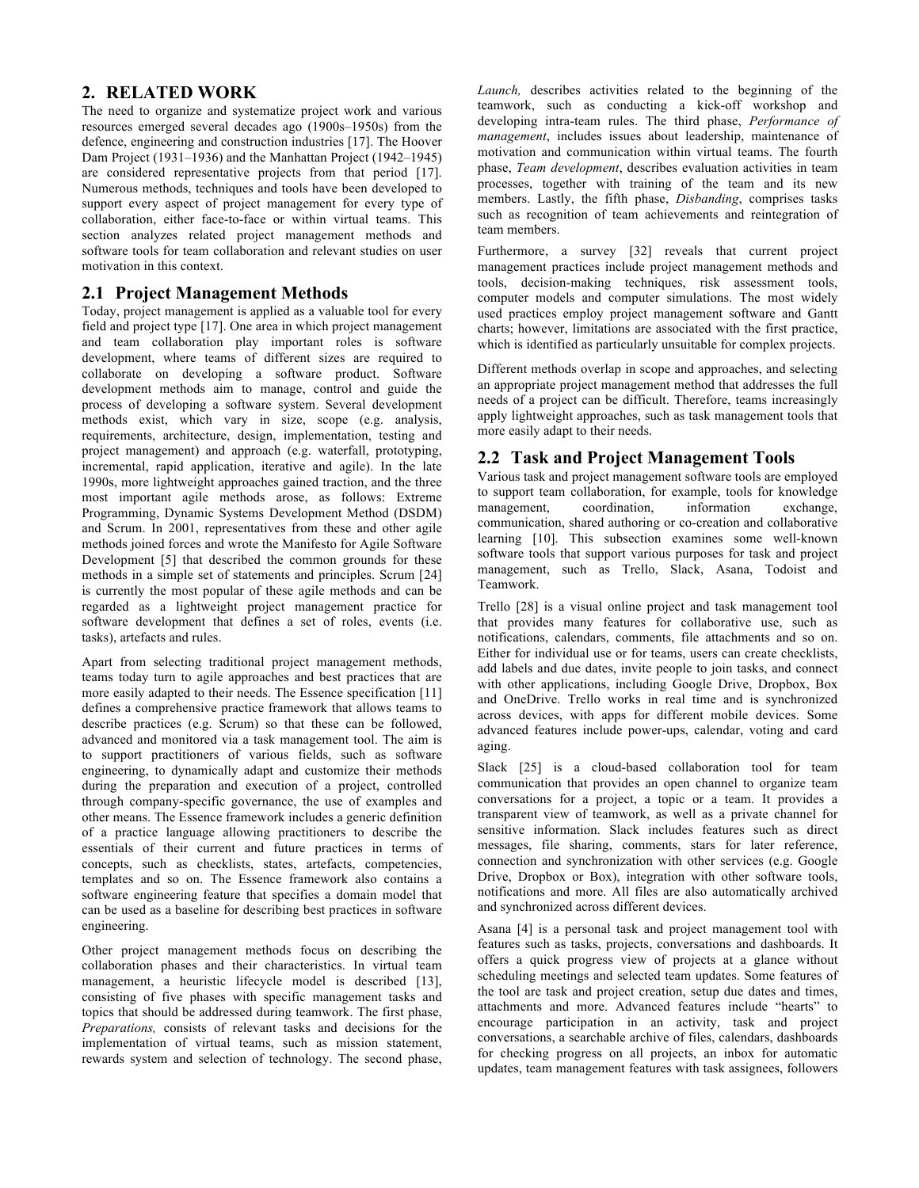## **2. RELATED WORK**

The need to organize and systematize project work and various resources emerged several decades ago (1900s–1950s) from the defence, engineering and construction industries [17]. The Hoover Dam Project (1931–1936) and the Manhattan Project (1942–1945) are considered representative projects from that period [17]. Numerous methods, techniques and tools have been developed to support every aspect of project management for every type of collaboration, either face-to-face or within virtual teams. This section analyzes related project management methods and software tools for team collaboration and relevant studies on user motivation in this context.

## **2.1 Project Management Methods**

Today, project management is applied as a valuable tool for every field and project type [17]. One area in which project management and team collaboration play important roles is software development, where teams of different sizes are required to collaborate on developing a software product. Software development methods aim to manage, control and guide the process of developing a software system. Several development methods exist, which vary in size, scope (e.g. analysis, requirements, architecture, design, implementation, testing and project management) and approach (e.g. waterfall, prototyping, incremental, rapid application, iterative and agile). In the late 1990s, more lightweight approaches gained traction, and the three most important agile methods arose, as follows: Extreme Programming, Dynamic Systems Development Method (DSDM) and Scrum. In 2001, representatives from these and other agile methods joined forces and wrote the Manifesto for Agile Software Development [5] that described the common grounds for these methods in a simple set of statements and principles. Scrum [24] is currently the most popular of these agile methods and can be regarded as a lightweight project management practice for software development that defines a set of roles, events (i.e. tasks), artefacts and rules.

Apart from selecting traditional project management methods, teams today turn to agile approaches and best practices that are more easily adapted to their needs. The Essence specification [11] defines a comprehensive practice framework that allows teams to describe practices (e.g. Scrum) so that these can be followed, advanced and monitored via a task management tool. The aim is to support practitioners of various fields, such as software engineering, to dynamically adapt and customize their methods during the preparation and execution of a project, controlled through company-specific governance, the use of examples and other means. The Essence framework includes a generic definition of a practice language allowing practitioners to describe the essentials of their current and future practices in terms of concepts, such as checklists, states, artefacts, competencies, templates and so on. The Essence framework also contains a software engineering feature that specifies a domain model that can be used as a baseline for describing best practices in software engineering.

Other project management methods focus on describing the collaboration phases and their characteristics. In virtual team management, a heuristic lifecycle model is described [13], consisting of five phases with specific management tasks and topics that should be addressed during teamwork. The first phase, *Preparations,* consists of relevant tasks and decisions for the implementation of virtual teams, such as mission statement, rewards system and selection of technology. The second phase, *Launch,* describes activities related to the beginning of the teamwork, such as conducting a kick-off workshop and developing intra-team rules. The third phase, *Performance of management*, includes issues about leadership, maintenance of motivation and communication within virtual teams. The fourth phase, *Team development*, describes evaluation activities in team processes, together with training of the team and its new members. Lastly, the fifth phase, *Disbanding*, comprises tasks such as recognition of team achievements and reintegration of team members.

Furthermore, a survey [32] reveals that current project management practices include project management methods and tools, decision-making techniques, risk assessment tools, computer models and computer simulations. The most widely used practices employ project management software and Gantt charts; however, limitations are associated with the first practice, which is identified as particularly unsuitable for complex projects.

Different methods overlap in scope and approaches, and selecting an appropriate project management method that addresses the full needs of a project can be difficult. Therefore, teams increasingly apply lightweight approaches, such as task management tools that more easily adapt to their needs.

# **2.2 Task and Project Management Tools**

Various task and project management software tools are employed to support team collaboration, for example, tools for knowledge management, coordination, information exchange, communication, shared authoring or co-creation and collaborative learning [10]. This subsection examines some well-known software tools that support various purposes for task and project management, such as Trello, Slack, Asana, Todoist and Teamwork.

Trello [28] is a visual online project and task management tool that provides many features for collaborative use, such as notifications, calendars, comments, file attachments and so on. Either for individual use or for teams, users can create checklists, add labels and due dates, invite people to join tasks, and connect with other applications, including Google Drive, Dropbox, Box and OneDrive. Trello works in real time and is synchronized across devices, with apps for different mobile devices. Some advanced features include power-ups, calendar, voting and card aging.

Slack [25] is a cloud-based collaboration tool for team communication that provides an open channel to organize team conversations for a project, a topic or a team. It provides a transparent view of teamwork, as well as a private channel for sensitive information. Slack includes features such as direct messages, file sharing, comments, stars for later reference, connection and synchronization with other services (e.g. Google Drive, Dropbox or Box), integration with other software tools, notifications and more. All files are also automatically archived and synchronized across different devices.

Asana [4] is a personal task and project management tool with features such as tasks, projects, conversations and dashboards. It offers a quick progress view of projects at a glance without scheduling meetings and selected team updates. Some features of the tool are task and project creation, setup due dates and times, attachments and more. Advanced features include "hearts" to encourage participation in an activity, task and project conversations, a searchable archive of files, calendars, dashboards for checking progress on all projects, an inbox for automatic updates, team management features with task assignees, followers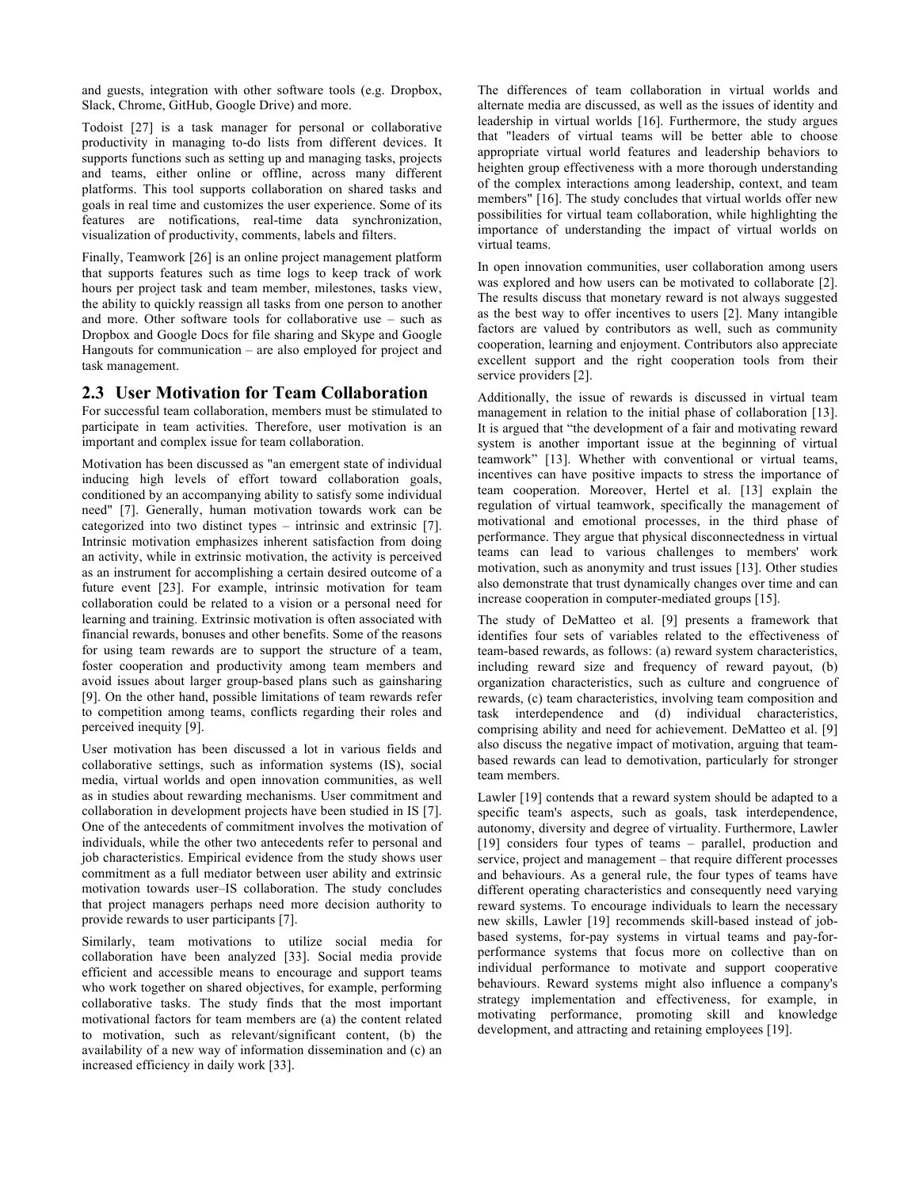and guests, integration with other software tools (e.g. Dropbox, Slack, Chrome, GitHub, Google Drive) and more.

Todoist [27] is a task manager for personal or collaborative productivity in managing to-do lists from different devices. It supports functions such as setting up and managing tasks, projects and teams, either online or offline, across many different platforms. This tool supports collaboration on shared tasks and goals in real time and customizes the user experience. Some of its features are notifications, real-time data synchronization, visualization of productivity, comments, labels and filters.

Finally, Teamwork [26] is an online project management platform that supports features such as time logs to keep track of work hours per project task and team member, milestones, tasks view, the ability to quickly reassign all tasks from one person to another and more. Other software tools for collaborative use – such as Dropbox and Google Docs for file sharing and Skype and Google Hangouts for communication – are also employed for project and task management.

### **2.3 User Motivation for Team Collaboration**

For successful team collaboration, members must be stimulated to participate in team activities. Therefore, user motivation is an important and complex issue for team collaboration.

Motivation has been discussed as "an emergent state of individual inducing high levels of effort toward collaboration goals, conditioned by an accompanying ability to satisfy some individual need" [7]. Generally, human motivation towards work can be categorized into two distinct types – intrinsic and extrinsic [7]. Intrinsic motivation emphasizes inherent satisfaction from doing an activity, while in extrinsic motivation, the activity is perceived as an instrument for accomplishing a certain desired outcome of a future event [23]. For example, intrinsic motivation for team collaboration could be related to a vision or a personal need for learning and training. Extrinsic motivation is often associated with financial rewards, bonuses and other benefits. Some of the reasons for using team rewards are to support the structure of a team, foster cooperation and productivity among team members and avoid issues about larger group-based plans such as gainsharing [9]. On the other hand, possible limitations of team rewards refer to competition among teams, conflicts regarding their roles and perceived inequity [9].

User motivation has been discussed a lot in various fields and collaborative settings, such as information systems (IS), social media, virtual worlds and open innovation communities, as well as in studies about rewarding mechanisms. User commitment and collaboration in development projects have been studied in IS [7]. One of the antecedents of commitment involves the motivation of individuals, while the other two antecedents refer to personal and job characteristics. Empirical evidence from the study shows user commitment as a full mediator between user ability and extrinsic motivation towards user–IS collaboration. The study concludes that project managers perhaps need more decision authority to provide rewards to user participants [7].

Similarly, team motivations to utilize social media for collaboration have been analyzed [33]. Social media provide efficient and accessible means to encourage and support teams who work together on shared objectives, for example, performing collaborative tasks. The study finds that the most important motivational factors for team members are (a) the content related to motivation, such as relevant/significant content, (b) the availability of a new way of information dissemination and (c) an increased efficiency in daily work [33].

The differences of team collaboration in virtual worlds and alternate media are discussed, as well as the issues of identity and leadership in virtual worlds [16]. Furthermore, the study argues that "leaders of virtual teams will be better able to choose appropriate virtual world features and leadership behaviors to heighten group effectiveness with a more thorough understanding of the complex interactions among leadership, context, and team members" [16]. The study concludes that virtual worlds offer new possibilities for virtual team collaboration, while highlighting the importance of understanding the impact of virtual worlds on virtual teams.

In open innovation communities, user collaboration among users was explored and how users can be motivated to collaborate [2]. The results discuss that monetary reward is not always suggested as the best way to offer incentives to users [2]. Many intangible factors are valued by contributors as well, such as community cooperation, learning and enjoyment. Contributors also appreciate excellent support and the right cooperation tools from their service providers [2].

Additionally, the issue of rewards is discussed in virtual team management in relation to the initial phase of collaboration [13]. It is argued that "the development of a fair and motivating reward system is another important issue at the beginning of virtual teamwork" [13]. Whether with conventional or virtual teams, incentives can have positive impacts to stress the importance of team cooperation. Moreover, Hertel et al. [13] explain the regulation of virtual teamwork, specifically the management of motivational and emotional processes, in the third phase of performance. They argue that physical disconnectedness in virtual teams can lead to various challenges to members' work motivation, such as anonymity and trust issues [13]. Other studies also demonstrate that trust dynamically changes over time and can increase cooperation in computer-mediated groups [15].

The study of DeMatteo et al. [9] presents a framework that identifies four sets of variables related to the effectiveness of team-based rewards, as follows: (a) reward system characteristics, including reward size and frequency of reward payout, (b) organization characteristics, such as culture and congruence of rewards, (c) team characteristics, involving team composition and task interdependence and (d) individual characteristics, comprising ability and need for achievement. DeMatteo et al. [9] also discuss the negative impact of motivation, arguing that teambased rewards can lead to demotivation, particularly for stronger team members.

Lawler [19] contends that a reward system should be adapted to a specific team's aspects, such as goals, task interdependence, autonomy, diversity and degree of virtuality. Furthermore, Lawler [19] considers four types of teams – parallel, production and service, project and management – that require different processes and behaviours. As a general rule, the four types of teams have different operating characteristics and consequently need varying reward systems. To encourage individuals to learn the necessary new skills, Lawler [19] recommends skill-based instead of jobbased systems, for-pay systems in virtual teams and pay-forperformance systems that focus more on collective than on individual performance to motivate and support cooperative behaviours. Reward systems might also influence a company's strategy implementation and effectiveness, for example, in motivating performance, promoting skill and knowledge development, and attracting and retaining employees [19].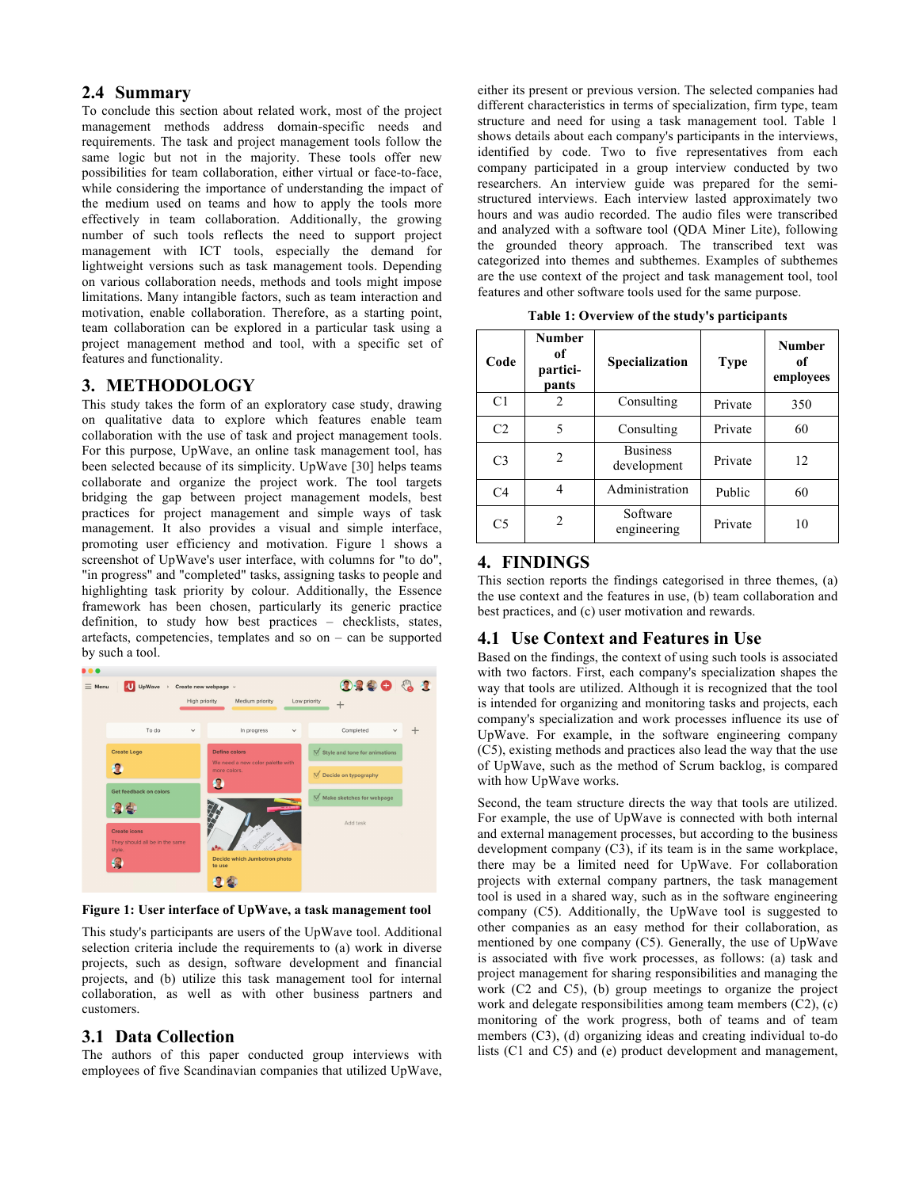### **2.4 Summary**

To conclude this section about related work, most of the project management methods address domain-specific needs and requirements. The task and project management tools follow the same logic but not in the majority. These tools offer new possibilities for team collaboration, either virtual or face-to-face, while considering the importance of understanding the impact of the medium used on teams and how to apply the tools more effectively in team collaboration. Additionally, the growing number of such tools reflects the need to support project management with ICT tools, especially the demand for lightweight versions such as task management tools. Depending on various collaboration needs, methods and tools might impose limitations. Many intangible factors, such as team interaction and motivation, enable collaboration. Therefore, as a starting point, team collaboration can be explored in a particular task using a project management method and tool, with a specific set of features and functionality.

## **3. METHODOLOGY**

This study takes the form of an exploratory case study, drawing on qualitative data to explore which features enable team collaboration with the use of task and project management tools. For this purpose, UpWave, an online task management tool, has been selected because of its simplicity. UpWave [30] helps teams collaborate and organize the project work. The tool targets bridging the gap between project management models, best practices for project management and simple ways of task management. It also provides a visual and simple interface, promoting user efficiency and motivation. Figure 1 shows a screenshot of UpWave's user interface, with columns for "to do", "in progress" and "completed" tasks, assigning tasks to people and highlighting task priority by colour. Additionally, the Essence framework has been chosen, particularly its generic practice definition, to study how best practices – checklists, states, artefacts, competencies, templates and so on – can be supported by such a tool.



**Figure 1: User interface of UpWave, a task management tool**

This study's participants are users of the UpWave tool. Additional selection criteria include the requirements to (a) work in diverse projects, such as design, software development and financial projects, and (b) utilize this task management tool for internal collaboration, as well as with other business partners and customers.

## **3.1 Data Collection**

The authors of this paper conducted group interviews with employees of five Scandinavian companies that utilized UpWave, either its present or previous version. The selected companies had different characteristics in terms of specialization, firm type, team structure and need for using a task management tool. Table 1 shows details about each company's participants in the interviews, identified by code. Two to five representatives from each company participated in a group interview conducted by two researchers. An interview guide was prepared for the semistructured interviews. Each interview lasted approximately two hours and was audio recorded. The audio files were transcribed and analyzed with a software tool (QDA Miner Lite), following the grounded theory approach. The transcribed text was categorized into themes and subthemes. Examples of subthemes are the use context of the project and task management tool, tool features and other software tools used for the same purpose.

|  |  | Table 1: Overview of the study's participants |  |  |  |  |
|--|--|-----------------------------------------------|--|--|--|--|
|--|--|-----------------------------------------------|--|--|--|--|

| Code           | <b>Number</b><br>of<br>partici-<br>pants | <b>Specialization</b>          | <b>Type</b> | <b>Number</b><br>of<br>employees |
|----------------|------------------------------------------|--------------------------------|-------------|----------------------------------|
| C <sub>1</sub> | 2                                        | Consulting                     | Private     | 350                              |
| C <sub>2</sub> | 5                                        | Consulting                     | Private     | 60                               |
| C <sub>3</sub> | $\overline{c}$                           | <b>Business</b><br>development | Private     | 12                               |
| C <sub>4</sub> | 4                                        | Administration                 | Public      | 60                               |
| C <sub>5</sub> | $\mathfrak{D}$                           | Software<br>engineering        | Private     | 10                               |

# **4. FINDINGS**

This section reports the findings categorised in three themes, (a) the use context and the features in use, (b) team collaboration and best practices, and (c) user motivation and rewards.

## **4.1 Use Context and Features in Use**

Based on the findings, the context of using such tools is associated with two factors. First, each company's specialization shapes the way that tools are utilized. Although it is recognized that the tool is intended for organizing and monitoring tasks and projects, each company's specialization and work processes influence its use of UpWave. For example, in the software engineering company (C5), existing methods and practices also lead the way that the use of UpWave, such as the method of Scrum backlog, is compared with how UpWave works.

Second, the team structure directs the way that tools are utilized. For example, the use of UpWave is connected with both internal and external management processes, but according to the business development company  $(C3)$ , if its team is in the same workplace, there may be a limited need for UpWave. For collaboration projects with external company partners, the task management tool is used in a shared way, such as in the software engineering company (C5). Additionally, the UpWave tool is suggested to other companies as an easy method for their collaboration, as mentioned by one company (C5). Generally, the use of UpWave is associated with five work processes, as follows: (a) task and project management for sharing responsibilities and managing the work (C2 and C5), (b) group meetings to organize the project work and delegate responsibilities among team members  $(C2)$ ,  $(c)$ monitoring of the work progress, both of teams and of team members (C3), (d) organizing ideas and creating individual to-do lists (C1 and C5) and (e) product development and management,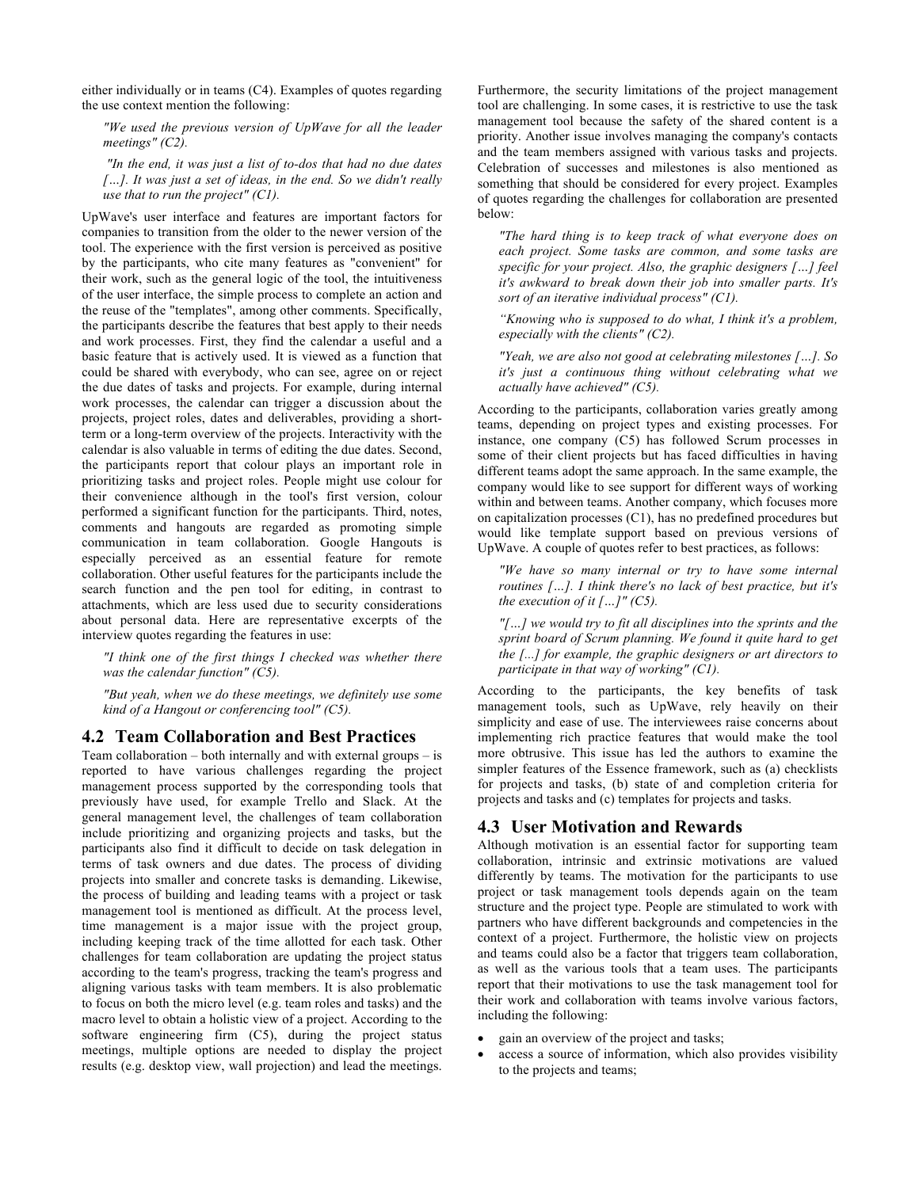either individually or in teams (C4). Examples of quotes regarding the use context mention the following:

*"We used the previous version of UpWave for all the leader meetings" (C2).*

*"In the end, it was just a list of to-dos that had no due dates […]. It was just a set of ideas, in the end. So we didn't really use that to run the project" (C1).*

UpWave's user interface and features are important factors for companies to transition from the older to the newer version of the tool. The experience with the first version is perceived as positive by the participants, who cite many features as "convenient" for their work, such as the general logic of the tool, the intuitiveness of the user interface, the simple process to complete an action and the reuse of the "templates", among other comments. Specifically, the participants describe the features that best apply to their needs and work processes. First, they find the calendar a useful and a basic feature that is actively used. It is viewed as a function that could be shared with everybody, who can see, agree on or reject the due dates of tasks and projects. For example, during internal work processes, the calendar can trigger a discussion about the projects, project roles, dates and deliverables, providing a shortterm or a long-term overview of the projects. Interactivity with the calendar is also valuable in terms of editing the due dates. Second, the participants report that colour plays an important role in prioritizing tasks and project roles. People might use colour for their convenience although in the tool's first version, colour performed a significant function for the participants. Third, notes, comments and hangouts are regarded as promoting simple communication in team collaboration. Google Hangouts is especially perceived as an essential feature for remote collaboration. Other useful features for the participants include the search function and the pen tool for editing, in contrast to attachments, which are less used due to security considerations about personal data. Here are representative excerpts of the interview quotes regarding the features in use:

*"I think one of the first things I checked was whether there was the calendar function" (C5).*

*"But yeah, when we do these meetings, we definitely use some kind of a Hangout or conferencing tool" (C5).*

### **4.2 Team Collaboration and Best Practices**

Team collaboration – both internally and with external groups – is reported to have various challenges regarding the project management process supported by the corresponding tools that previously have used, for example Trello and Slack. At the general management level, the challenges of team collaboration include prioritizing and organizing projects and tasks, but the participants also find it difficult to decide on task delegation in terms of task owners and due dates. The process of dividing projects into smaller and concrete tasks is demanding. Likewise, the process of building and leading teams with a project or task management tool is mentioned as difficult. At the process level, time management is a major issue with the project group, including keeping track of the time allotted for each task. Other challenges for team collaboration are updating the project status according to the team's progress, tracking the team's progress and aligning various tasks with team members. It is also problematic to focus on both the micro level (e.g. team roles and tasks) and the macro level to obtain a holistic view of a project. According to the software engineering firm (C5), during the project status meetings, multiple options are needed to display the project results (e.g. desktop view, wall projection) and lead the meetings.

Furthermore, the security limitations of the project management tool are challenging. In some cases, it is restrictive to use the task management tool because the safety of the shared content is a priority. Another issue involves managing the company's contacts and the team members assigned with various tasks and projects. Celebration of successes and milestones is also mentioned as something that should be considered for every project. Examples of quotes regarding the challenges for collaboration are presented below:

*"The hard thing is to keep track of what everyone does on each project. Some tasks are common, and some tasks are specific for your project. Also, the graphic designers […] feel it's awkward to break down their job into smaller parts. It's sort of an iterative individual process" (C1).*

*"Knowing who is supposed to do what, I think it's a problem, especially with the clients" (C2).*

*"Yeah, we are also not good at celebrating milestones […]. So it's just a continuous thing without celebrating what we actually have achieved" (C5).*

According to the participants, collaboration varies greatly among teams, depending on project types and existing processes. For instance, one company (C5) has followed Scrum processes in some of their client projects but has faced difficulties in having different teams adopt the same approach. In the same example, the company would like to see support for different ways of working within and between teams. Another company, which focuses more on capitalization processes (C1), has no predefined procedures but would like template support based on previous versions of UpWave. A couple of quotes refer to best practices, as follows:

*"We have so many internal or try to have some internal routines […]. I think there's no lack of best practice, but it's the execution of it […]" (C5).*

*"[…] we would try to fit all disciplines into the sprints and the sprint board of Scrum planning. We found it quite hard to get the [...] for example, the graphic designers or art directors to participate in that way of working" (C1).*

According to the participants, the key benefits of task management tools, such as UpWave, rely heavily on their simplicity and ease of use. The interviewees raise concerns about implementing rich practice features that would make the tool more obtrusive. This issue has led the authors to examine the simpler features of the Essence framework, such as (a) checklists for projects and tasks, (b) state of and completion criteria for projects and tasks and (c) templates for projects and tasks.

## **4.3 User Motivation and Rewards**

Although motivation is an essential factor for supporting team collaboration, intrinsic and extrinsic motivations are valued differently by teams. The motivation for the participants to use project or task management tools depends again on the team structure and the project type. People are stimulated to work with partners who have different backgrounds and competencies in the context of a project. Furthermore, the holistic view on projects and teams could also be a factor that triggers team collaboration, as well as the various tools that a team uses. The participants report that their motivations to use the task management tool for their work and collaboration with teams involve various factors, including the following:

- gain an overview of the project and tasks;
- access a source of information, which also provides visibility to the projects and teams;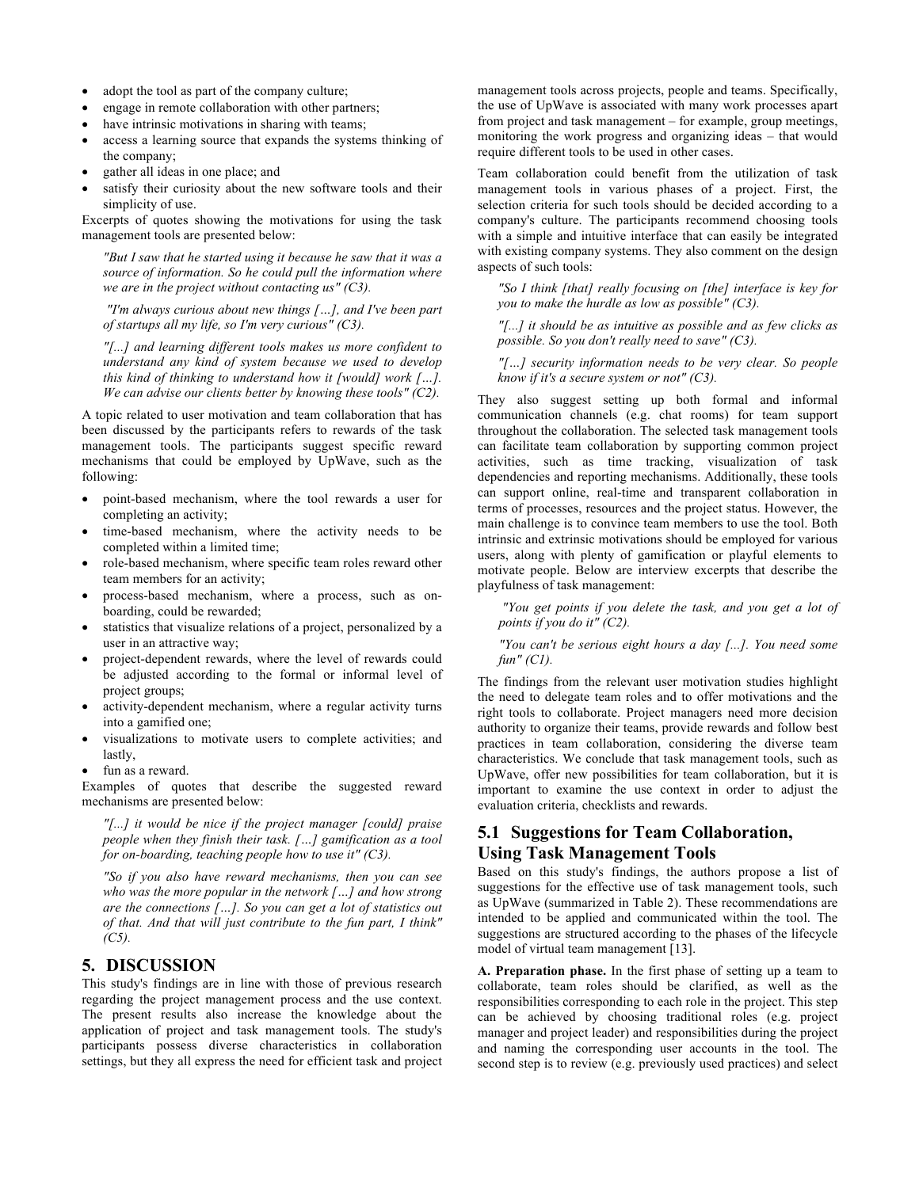- adopt the tool as part of the company culture;
- engage in remote collaboration with other partners;
- have intrinsic motivations in sharing with teams;
- access a learning source that expands the systems thinking of the company;
- gather all ideas in one place; and
- satisfy their curiosity about the new software tools and their simplicity of use.

Excerpts of quotes showing the motivations for using the task management tools are presented below:

*"But I saw that he started using it because he saw that it was a source of information. So he could pull the information where we are in the project without contacting us" (C3).*

*"I'm always curious about new things […], and I've been part of startups all my life, so I'm very curious" (C3).*

*"[...] and learning different tools makes us more confident to understand any kind of system because we used to develop this kind of thinking to understand how it [would] work […]. We can advise our clients better by knowing these tools" (C2).*

A topic related to user motivation and team collaboration that has been discussed by the participants refers to rewards of the task management tools. The participants suggest specific reward mechanisms that could be employed by UpWave, such as the following:

- point-based mechanism, where the tool rewards a user for completing an activity;
- time-based mechanism, where the activity needs to be completed within a limited time;
- role-based mechanism, where specific team roles reward other team members for an activity;
- process-based mechanism, where a process, such as onboarding, could be rewarded;
- statistics that visualize relations of a project, personalized by a user in an attractive way;
- project-dependent rewards, where the level of rewards could be adjusted according to the formal or informal level of project groups;
- activity-dependent mechanism, where a regular activity turns into a gamified one;
- visualizations to motivate users to complete activities; and lastly,
- fun as a reward.

Examples of quotes that describe the suggested reward mechanisms are presented below:

*"[...] it would be nice if the project manager [could] praise people when they finish their task. […] gamification as a tool for on-boarding, teaching people how to use it" (C3).*

*"So if you also have reward mechanisms, then you can see who was the more popular in the network […] and how strong are the connections […]. So you can get a lot of statistics out of that. And that will just contribute to the fun part, I think" (C5).*

## **5. DISCUSSION**

This study's findings are in line with those of previous research regarding the project management process and the use context. The present results also increase the knowledge about the application of project and task management tools. The study's participants possess diverse characteristics in collaboration settings, but they all express the need for efficient task and project management tools across projects, people and teams. Specifically, the use of UpWave is associated with many work processes apart from project and task management – for example, group meetings, monitoring the work progress and organizing ideas – that would require different tools to be used in other cases.

Team collaboration could benefit from the utilization of task management tools in various phases of a project. First, the selection criteria for such tools should be decided according to a company's culture. The participants recommend choosing tools with a simple and intuitive interface that can easily be integrated with existing company systems. They also comment on the design aspects of such tools:

*"So I think [that] really focusing on [the] interface is key for you to make the hurdle as low as possible" (C3).*

*"[...] it should be as intuitive as possible and as few clicks as possible. So you don't really need to save" (C3).*

*"[…] security information needs to be very clear. So people know if it's a secure system or not" (C3).*

They also suggest setting up both formal and informal communication channels (e.g. chat rooms) for team support throughout the collaboration. The selected task management tools can facilitate team collaboration by supporting common project activities, such as time tracking, visualization of task dependencies and reporting mechanisms. Additionally, these tools can support online, real-time and transparent collaboration in terms of processes, resources and the project status. However, the main challenge is to convince team members to use the tool. Both intrinsic and extrinsic motivations should be employed for various users, along with plenty of gamification or playful elements to motivate people. Below are interview excerpts that describe the playfulness of task management:

*"You get points if you delete the task, and you get a lot of points if you do it" (C2).*

*"You can't be serious eight hours a day [...]. You need some fun" (C1).*

The findings from the relevant user motivation studies highlight the need to delegate team roles and to offer motivations and the right tools to collaborate. Project managers need more decision authority to organize their teams, provide rewards and follow best practices in team collaboration, considering the diverse team characteristics. We conclude that task management tools, such as UpWave, offer new possibilities for team collaboration, but it is important to examine the use context in order to adjust the evaluation criteria, checklists and rewards.

# **5.1 Suggestions for Team Collaboration, Using Task Management Tools**

Based on this study's findings, the authors propose a list of suggestions for the effective use of task management tools, such as UpWave (summarized in Table 2). These recommendations are intended to be applied and communicated within the tool. The suggestions are structured according to the phases of the lifecycle model of virtual team management [13].

**A. Preparation phase.** In the first phase of setting up a team to collaborate, team roles should be clarified, as well as the responsibilities corresponding to each role in the project. This step can be achieved by choosing traditional roles (e.g. project manager and project leader) and responsibilities during the project and naming the corresponding user accounts in the tool. The second step is to review (e.g. previously used practices) and select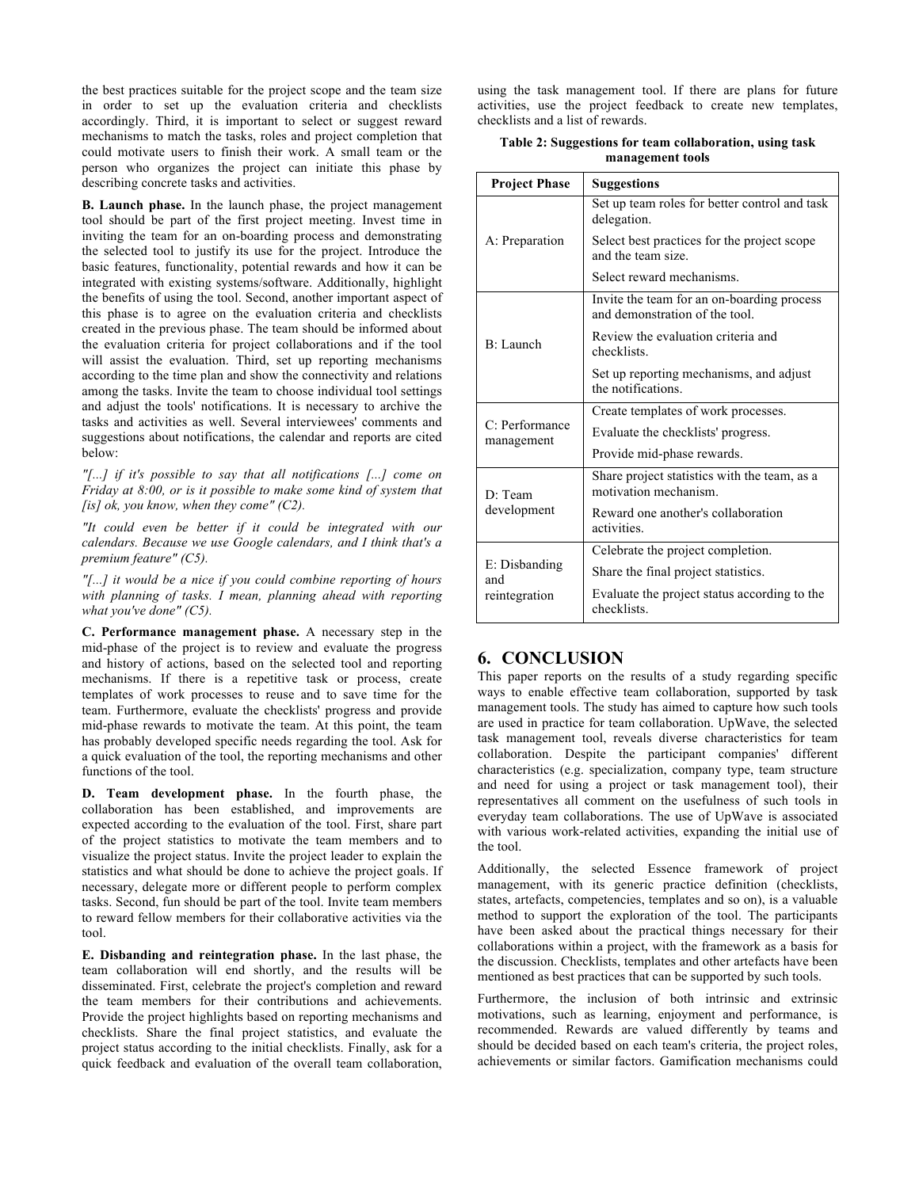the best practices suitable for the project scope and the team size in order to set up the evaluation criteria and checklists accordingly. Third, it is important to select or suggest reward mechanisms to match the tasks, roles and project completion that could motivate users to finish their work. A small team or the person who organizes the project can initiate this phase by describing concrete tasks and activities.

**B. Launch phase.** In the launch phase, the project management tool should be part of the first project meeting. Invest time in inviting the team for an on-boarding process and demonstrating the selected tool to justify its use for the project. Introduce the basic features, functionality, potential rewards and how it can be integrated with existing systems/software. Additionally, highlight the benefits of using the tool. Second, another important aspect of this phase is to agree on the evaluation criteria and checklists created in the previous phase. The team should be informed about the evaluation criteria for project collaborations and if the tool will assist the evaluation. Third, set up reporting mechanisms according to the time plan and show the connectivity and relations among the tasks. Invite the team to choose individual tool settings and adjust the tools' notifications. It is necessary to archive the tasks and activities as well. Several interviewees' comments and suggestions about notifications, the calendar and reports are cited below:

*"[...] if it's possible to say that all notifications [...] come on Friday at 8:00, or is it possible to make some kind of system that [is] ok, you know, when they come" (C2).*

*"It could even be better if it could be integrated with our calendars. Because we use Google calendars, and I think that's a premium feature" (C5).*

*"[...] it would be a nice if you could combine reporting of hours with planning of tasks. I mean, planning ahead with reporting what you've done" (C5).*

**C. Performance management phase.** A necessary step in the mid-phase of the project is to review and evaluate the progress and history of actions, based on the selected tool and reporting mechanisms. If there is a repetitive task or process, create templates of work processes to reuse and to save time for the team. Furthermore, evaluate the checklists' progress and provide mid-phase rewards to motivate the team. At this point, the team has probably developed specific needs regarding the tool. Ask for a quick evaluation of the tool, the reporting mechanisms and other functions of the tool.

**D. Team development phase.** In the fourth phase, the collaboration has been established, and improvements are expected according to the evaluation of the tool. First, share part of the project statistics to motivate the team members and to visualize the project status. Invite the project leader to explain the statistics and what should be done to achieve the project goals. If necessary, delegate more or different people to perform complex tasks. Second, fun should be part of the tool. Invite team members to reward fellow members for their collaborative activities via the tool.

**E. Disbanding and reintegration phase.** In the last phase, the team collaboration will end shortly, and the results will be disseminated. First, celebrate the project's completion and reward the team members for their contributions and achievements. Provide the project highlights based on reporting mechanisms and checklists. Share the final project statistics, and evaluate the project status according to the initial checklists. Finally, ask for a quick feedback and evaluation of the overall team collaboration,

|                                   |  |  |  | using the task management tool. If there are plans for future |  |  |  |  |
|-----------------------------------|--|--|--|---------------------------------------------------------------|--|--|--|--|
|                                   |  |  |  | activities, use the project feedback to create new templates, |  |  |  |  |
| checklists and a list of rewards. |  |  |  |                                                               |  |  |  |  |

| Table 2: Suggestions for team collaboration, using task |  |
|---------------------------------------------------------|--|
| management tools                                        |  |

| <b>Project Phase</b>         | <b>Suggestions</b>                                                           |  |  |  |  |
|------------------------------|------------------------------------------------------------------------------|--|--|--|--|
|                              | Set up team roles for better control and task<br>delegation.                 |  |  |  |  |
| A: Preparation               | Select best practices for the project scope<br>and the team size.            |  |  |  |  |
|                              | Select reward mechanisms.                                                    |  |  |  |  |
|                              | Invite the team for an on-boarding process<br>and demonstration of the tool. |  |  |  |  |
| B: Launch                    | Review the evaluation criteria and<br>checklists.                            |  |  |  |  |
|                              | Set up reporting mechanisms, and adjust<br>the notifications                 |  |  |  |  |
|                              | Create templates of work processes.                                          |  |  |  |  |
| C: Performance<br>management | Evaluate the checklists' progress.                                           |  |  |  |  |
|                              | Provide mid-phase rewards.                                                   |  |  |  |  |
| D: Team<br>development       | Share project statistics with the team, as a<br>motivation mechanism         |  |  |  |  |
|                              | Reward one another's collaboration<br>activities.                            |  |  |  |  |
|                              | Celebrate the project completion.                                            |  |  |  |  |
| E: Disbanding<br>and         | Share the final project statistics.                                          |  |  |  |  |
| reintegration                | Evaluate the project status according to the<br>checklists.                  |  |  |  |  |

### **6. CONCLUSION**

This paper reports on the results of a study regarding specific ways to enable effective team collaboration, supported by task management tools. The study has aimed to capture how such tools are used in practice for team collaboration. UpWave, the selected task management tool, reveals diverse characteristics for team collaboration. Despite the participant companies' different characteristics (e.g. specialization, company type, team structure and need for using a project or task management tool), their representatives all comment on the usefulness of such tools in everyday team collaborations. The use of UpWave is associated with various work-related activities, expanding the initial use of the tool.

Additionally, the selected Essence framework of project management, with its generic practice definition (checklists, states, artefacts, competencies, templates and so on), is a valuable method to support the exploration of the tool. The participants have been asked about the practical things necessary for their collaborations within a project, with the framework as a basis for the discussion. Checklists, templates and other artefacts have been mentioned as best practices that can be supported by such tools.

Furthermore, the inclusion of both intrinsic and extrinsic motivations, such as learning, enjoyment and performance, is recommended. Rewards are valued differently by teams and should be decided based on each team's criteria, the project roles, achievements or similar factors. Gamification mechanisms could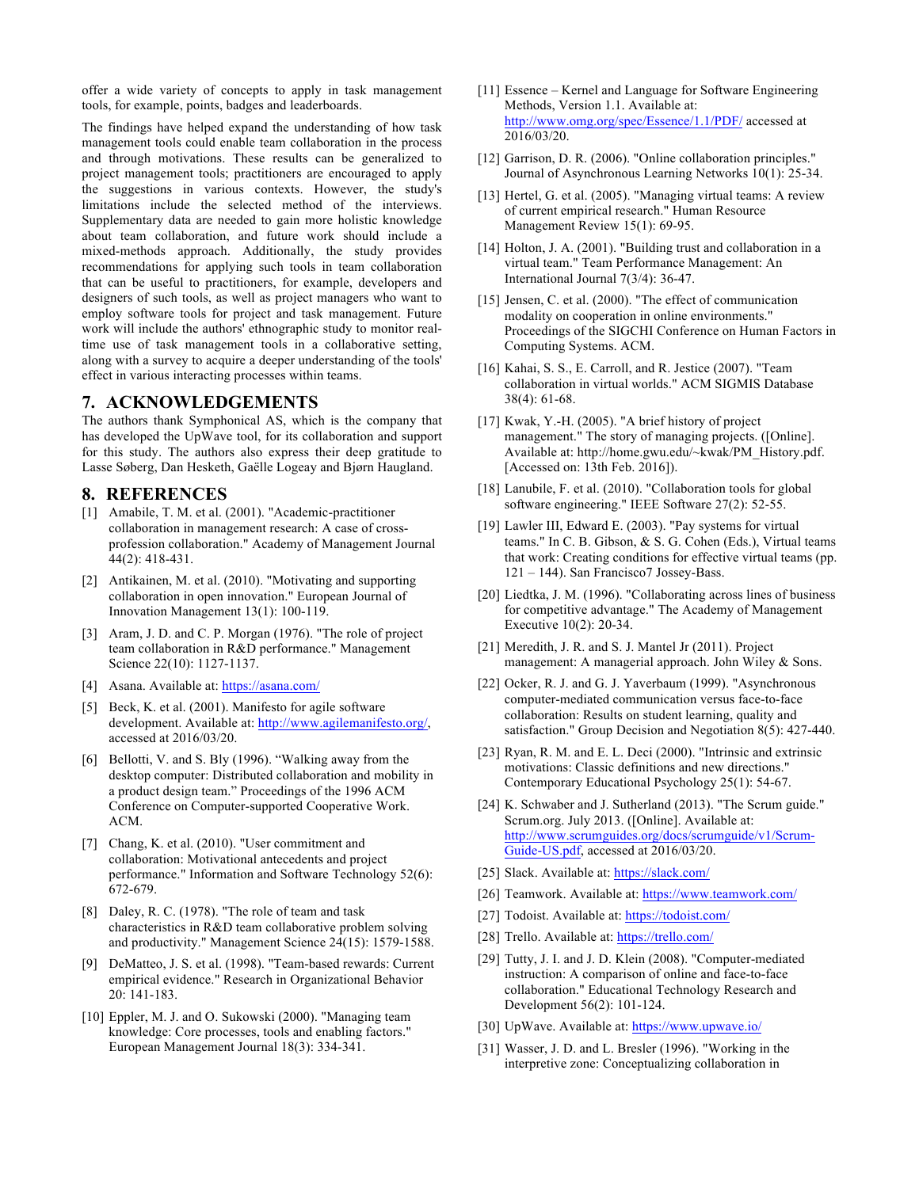offer a wide variety of concepts to apply in task management tools, for example, points, badges and leaderboards.

The findings have helped expand the understanding of how task management tools could enable team collaboration in the process and through motivations. These results can be generalized to project management tools; practitioners are encouraged to apply the suggestions in various contexts. However, the study's limitations include the selected method of the interviews. Supplementary data are needed to gain more holistic knowledge about team collaboration, and future work should include a mixed-methods approach. Additionally, the study provides recommendations for applying such tools in team collaboration that can be useful to practitioners, for example, developers and designers of such tools, as well as project managers who want to employ software tools for project and task management. Future work will include the authors' ethnographic study to monitor realtime use of task management tools in a collaborative setting, along with a survey to acquire a deeper understanding of the tools' effect in various interacting processes within teams.

#### **7. ACKNOWLEDGEMENTS**

The authors thank Symphonical AS, which is the company that has developed the UpWave tool, for its collaboration and support for this study. The authors also express their deep gratitude to Lasse Søberg, Dan Hesketh, Gaëlle Logeay and Bjørn Haugland.

#### **8. REFERENCES**

- [1] Amabile, T. M. et al. (2001). "Academic-practitioner collaboration in management research: A case of crossprofession collaboration." Academy of Management Journal 44(2): 418-431.
- [2] Antikainen, M. et al. (2010). "Motivating and supporting collaboration in open innovation." European Journal of Innovation Management 13(1): 100-119.
- [3] Aram, J. D. and C. P. Morgan (1976). "The role of project team collaboration in R&D performance." Management Science 22(10): 1127-1137.
- [4] Asana. Available at: https://asana.com/
- [5] Beck, K. et al. (2001). Manifesto for agile software development. Available at: http://www.agilemanifesto.org/, accessed at 2016/03/20.
- [6] Bellotti, V. and S. Bly (1996). "Walking away from the desktop computer: Distributed collaboration and mobility in a product design team." Proceedings of the 1996 ACM Conference on Computer-supported Cooperative Work. ACM.
- [7] Chang, K. et al. (2010). "User commitment and collaboration: Motivational antecedents and project performance." Information and Software Technology 52(6): 672-679.
- [8] Daley, R. C. (1978). "The role of team and task characteristics in R&D team collaborative problem solving and productivity." Management Science 24(15): 1579-1588.
- [9] DeMatteo, J. S. et al. (1998). "Team-based rewards: Current empirical evidence." Research in Organizational Behavior 20: 141-183.
- [10] Eppler, M. J. and O. Sukowski (2000). "Managing team knowledge: Core processes, tools and enabling factors." European Management Journal 18(3): 334-341.
- [11] Essence Kernel and Language for Software Engineering Methods, Version 1.1. Available at: http://www.omg.org/spec/Essence/1.1/PDF/ accessed at 2016/03/20.
- [12] Garrison, D. R. (2006). "Online collaboration principles." Journal of Asynchronous Learning Networks 10(1): 25-34.
- [13] Hertel, G. et al. (2005). "Managing virtual teams: A review of current empirical research." Human Resource Management Review 15(1): 69-95.
- [14] Holton, J. A. (2001). "Building trust and collaboration in a virtual team." Team Performance Management: An International Journal 7(3/4): 36-47.
- [15] Jensen, C. et al. (2000). "The effect of communication modality on cooperation in online environments." Proceedings of the SIGCHI Conference on Human Factors in Computing Systems. ACM.
- [16] Kahai, S. S., E. Carroll, and R. Jestice (2007). "Team collaboration in virtual worlds." ACM SIGMIS Database 38(4): 61-68.
- [17] Kwak, Y.-H. (2005). "A brief history of project management." The story of managing projects. ([Online]. Available at: http://home.gwu.edu/~kwak/PM\_History.pdf. [Accessed on: 13th Feb. 2016]).
- [18] Lanubile, F. et al. (2010). "Collaboration tools for global software engineering." IEEE Software 27(2): 52-55.
- [19] Lawler III, Edward E. (2003). "Pay systems for virtual teams." In C. B. Gibson, & S. G. Cohen (Eds.), Virtual teams that work: Creating conditions for effective virtual teams (pp. 121 – 144). San Francisco7 Jossey-Bass.
- [20] Liedtka, J. M. (1996). "Collaborating across lines of business for competitive advantage." The Academy of Management Executive 10(2): 20-34.
- [21] Meredith, J. R. and S. J. Mantel Jr (2011). Project management: A managerial approach. John Wiley & Sons.
- [22] Ocker, R. J. and G. J. Yaverbaum (1999). "Asynchronous computer-mediated communication versus face-to-face collaboration: Results on student learning, quality and satisfaction." Group Decision and Negotiation 8(5): 427-440.
- [23] Ryan, R. M. and E. L. Deci (2000). "Intrinsic and extrinsic motivations: Classic definitions and new directions." Contemporary Educational Psychology 25(1): 54-67.
- [24] K. Schwaber and J. Sutherland (2013). "The Scrum guide." Scrum.org. July 2013. ([Online]. Available at: http://www.scrumguides.org/docs/scrumguide/v1/Scrum-Guide-US.pdf, accessed at 2016/03/20.
- [25] Slack. Available at: https://slack.com/
- [26] Teamwork. Available at: https://www.teamwork.com/
- [27] Todoist. Available at: https://todoist.com/
- [28] Trello. Available at: https://trello.com/
- [29] Tutty, J. I. and J. D. Klein (2008). "Computer-mediated instruction: A comparison of online and face-to-face collaboration." Educational Technology Research and Development 56(2): 101-124.
- [30] UpWave. Available at: https://www.upwave.io/
- [31] Wasser, J. D. and L. Bresler (1996). "Working in the interpretive zone: Conceptualizing collaboration in